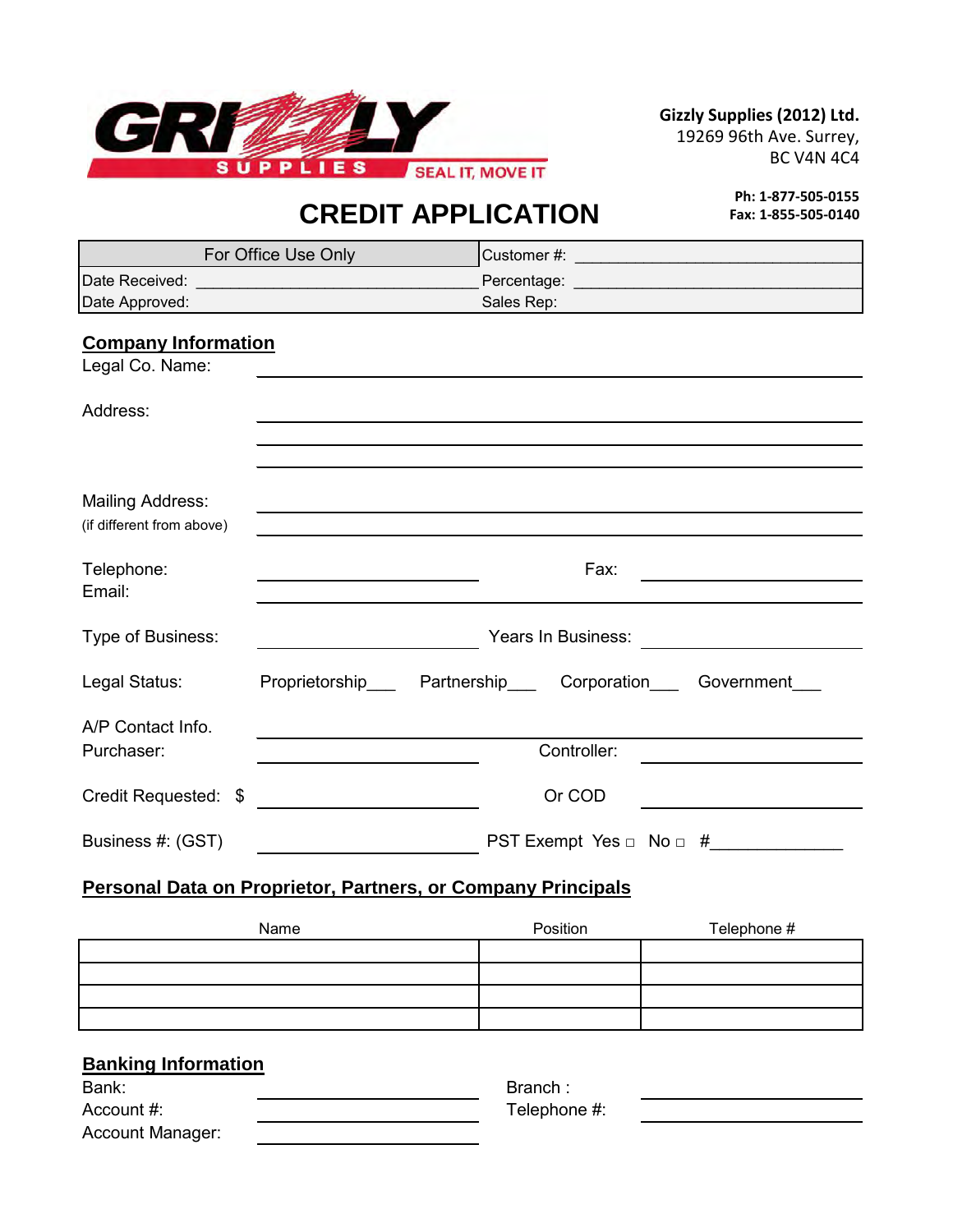

**Gizzly Supplies (2012) Ltd.**

19269 96th Ave. Surrey, BC V4N 4C4

# **CREDIT APPLICATION**

**Ph: 1-877-505-0155 Fax: 1-855-505-0140**

| For Office Use Only                                                 |                                                                                                                      |                                                                 |  |  |
|---------------------------------------------------------------------|----------------------------------------------------------------------------------------------------------------------|-----------------------------------------------------------------|--|--|
|                                                                     |                                                                                                                      |                                                                 |  |  |
| Date Approved:                                                      |                                                                                                                      | Sales Rep:                                                      |  |  |
| <b>Company Information</b>                                          |                                                                                                                      |                                                                 |  |  |
| Legal Co. Name:                                                     |                                                                                                                      |                                                                 |  |  |
| Address:                                                            |                                                                                                                      |                                                                 |  |  |
|                                                                     |                                                                                                                      |                                                                 |  |  |
| <b>Mailing Address:</b><br>(if different from above)                |                                                                                                                      |                                                                 |  |  |
| Telephone:<br>Email:                                                |                                                                                                                      | Fax:                                                            |  |  |
| Type of Business:                                                   |                                                                                                                      | Years In Business: <u>_______________</u>                       |  |  |
| Legal Status:                                                       |                                                                                                                      | Proprietorship____ Partnership____ Corporation___ Government___ |  |  |
| A/P Contact Info.                                                   |                                                                                                                      |                                                                 |  |  |
| Purchaser:                                                          |                                                                                                                      | Controller:                                                     |  |  |
| Credit Requested: \$                                                | <u> 1980 - Jan Jawa Barat, prima prima prima prima prima prima prima prima prima prima prima prima prima prima p</u> | Or COD                                                          |  |  |
| Business #: (GST)                                                   |                                                                                                                      | PST Exempt Yes $\Box$ No $\Box$ #                               |  |  |
| <b>Personal Data on Proprietor, Partners, or Company Principals</b> |                                                                                                                      |                                                                 |  |  |

# Position Telephone # Name

## **Banking Information**

| Bank:            | Branch :     |
|------------------|--------------|
| Account #:       | Telephone #: |
| Account Manager: |              |